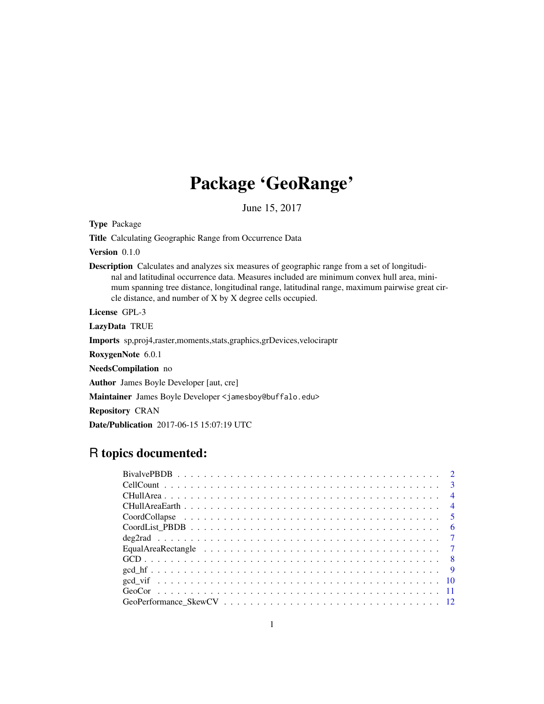# Package 'GeoRange'

June 15, 2017

Type Package

Title Calculating Geographic Range from Occurrence Data

Version 0.1.0

Description Calculates and analyzes six measures of geographic range from a set of longitudinal and latitudinal occurrence data. Measures included are minimum convex hull area, minimum spanning tree distance, longitudinal range, latitudinal range, maximum pairwise great circle distance, and number of X by X degree cells occupied.

License GPL-3

LazyData TRUE

Imports sp,proj4,raster,moments,stats,graphics,grDevices,velociraptr

RoxygenNote 6.0.1

NeedsCompilation no

Author James Boyle Developer [aut, cre]

Maintainer James Boyle Developer <jamesboy@buffalo.edu>

Repository CRAN

Date/Publication 2017-06-15 15:07:19 UTC

# R topics documented: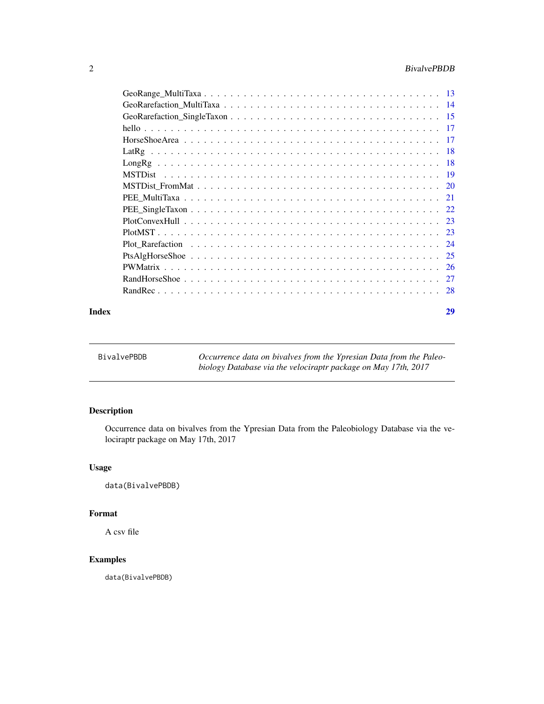# <span id="page-1-0"></span>2 BivalvePBDB

| Index | 29 |
|-------|----|

| BivalvePBDB | Occurrence data on bivalves from the Ypresian Data from the Paleo- |
|-------------|--------------------------------------------------------------------|
|             | biology Database via the velociraptr package on May 17th, 2017     |

# Description

Occurrence data on bivalves from the Ypresian Data from the Paleobiology Database via the velociraptr package on May 17th, 2017

# Usage

data(BivalvePBDB)

# Format

A csv file

# Examples

data(BivalvePBDB)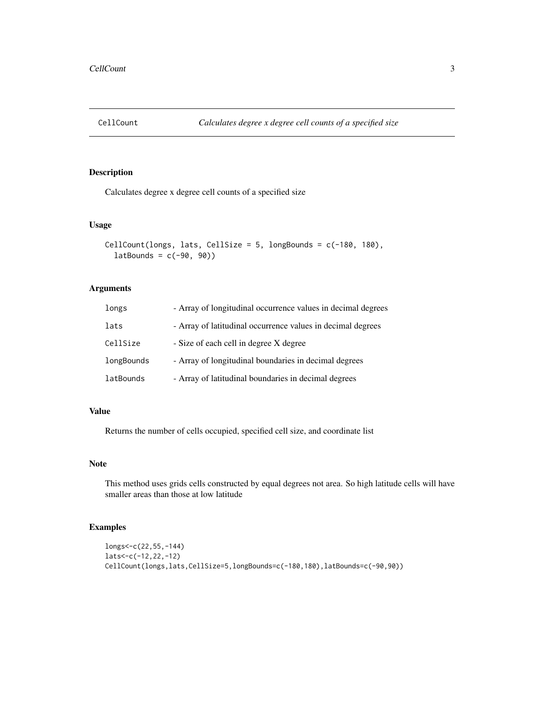<span id="page-2-0"></span>

Calculates degree x degree cell counts of a specified size

# Usage

```
CellCount(longs, lats, CellSize = 5, longBounds = c(-180, 180),
  latBounds = c(-90, 90)
```
# Arguments

| longs      | - Array of longitudinal occurrence values in decimal degrees |
|------------|--------------------------------------------------------------|
| lats       | - Array of latitudinal occurrence values in decimal degrees  |
| CellSize   | - Size of each cell in degree X degree                       |
| longBounds | - Array of longitudinal boundaries in decimal degrees        |
| latBounds  | - Array of latitudinal boundaries in decimal degrees         |

#### Value

Returns the number of cells occupied, specified cell size, and coordinate list

#### Note

This method uses grids cells constructed by equal degrees not area. So high latitude cells will have smaller areas than those at low latitude

```
longs<-c(22,55,-144)
lats<-c(-12,22,-12)
CellCount(longs,lats,CellSize=5,longBounds=c(-180,180),latBounds=c(-90,90))
```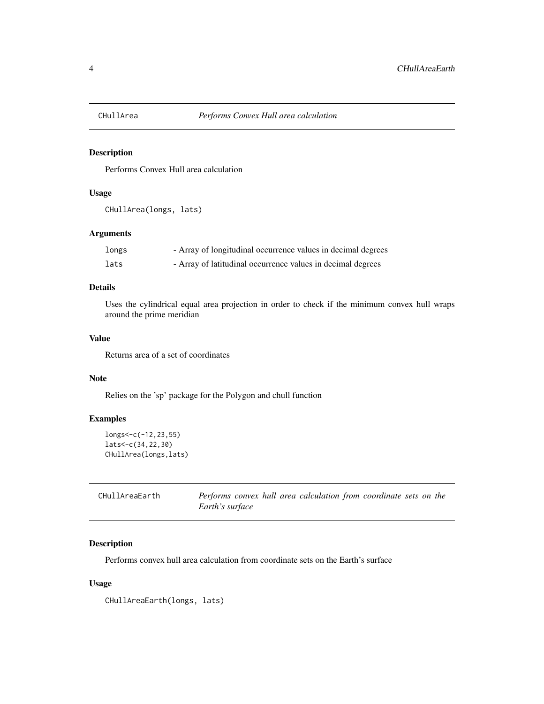<span id="page-3-0"></span>

Performs Convex Hull area calculation

# Usage

```
CHullArea(longs, lats)
```
# Arguments

| longs | - Array of longitudinal occurrence values in decimal degrees |
|-------|--------------------------------------------------------------|
| lats  | - Array of latitudinal occurrence values in decimal degrees  |

# Details

Uses the cylindrical equal area projection in order to check if the minimum convex hull wraps around the prime meridian

# Value

Returns area of a set of coordinates

# Note

Relies on the 'sp' package for the Polygon and chull function

# Examples

```
longs<-c(-12,23,55)
lats<-c(34,22,30)
CHullArea(longs,lats)
```

| CHullAreaEarth | Performs convex hull area calculation from coordinate sets on the |
|----------------|-------------------------------------------------------------------|
|                | Earth's surface                                                   |

# Description

Performs convex hull area calculation from coordinate sets on the Earth's surface

#### Usage

CHullAreaEarth(longs, lats)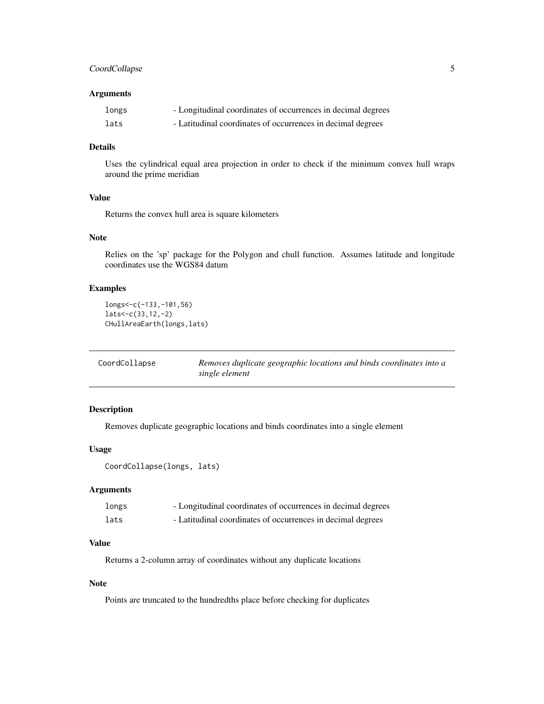# <span id="page-4-0"></span>CoordCollapse 5

#### Arguments

| longs | - Longitudinal coordinates of occurrences in decimal degrees |
|-------|--------------------------------------------------------------|
| lats  | - Latitudinal coordinates of occurrences in decimal degrees  |

# Details

Uses the cylindrical equal area projection in order to check if the minimum convex hull wraps around the prime meridian

### Value

Returns the convex hull area is square kilometers

# Note

Relies on the 'sp' package for the Polygon and chull function. Assumes latitude and longitude coordinates use the WGS84 datum

# Examples

```
longs<-c(-133,-101,56)
lats<-c(33,12,-2)
CHullAreaEarth(longs,lats)
```

| CoordCollapse | Removes duplicate geographic locations and binds coordinates into a |
|---------------|---------------------------------------------------------------------|
|               | single element                                                      |

# Description

Removes duplicate geographic locations and binds coordinates into a single element

#### Usage

```
CoordCollapse(longs, lats)
```
# Arguments

| longs | - Longitudinal coordinates of occurrences in decimal degrees |
|-------|--------------------------------------------------------------|
| lats  | - Latitudinal coordinates of occurrences in decimal degrees  |

# Value

Returns a 2-column array of coordinates without any duplicate locations

# Note

Points are truncated to the hundredths place before checking for duplicates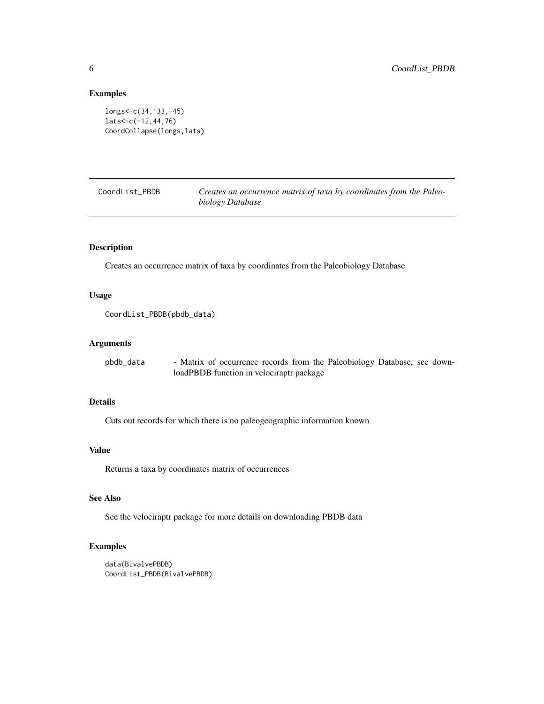# Examples

```
longs<-c(34,133,-45)
lats<-c(-12,44,76)
CoordCollapse(longs,lats)
```
CoordList\_PBDB *Creates an occurrence matrix of taxa by coordinates from the Paleobiology Database*

# Description

Creates an occurrence matrix of taxa by coordinates from the Paleobiology Database

#### Usage

```
CoordList_PBDB(pbdb_data)
```
#### Arguments

| pbdb data | - Matrix of occurrence records from the Paleobiology Database, see down- |
|-----------|--------------------------------------------------------------------------|
|           | loadPBDB function in velociraptr package                                 |

# Details

Cuts out records for which there is no paleogeographic information known

# Value

Returns a taxa by coordinates matrix of occurrences

# See Also

See the velociraptr package for more details on downloading PBDB data

```
data(BivalvePBDB)
CoordList_PBDB(BivalvePBDB)
```
<span id="page-5-0"></span>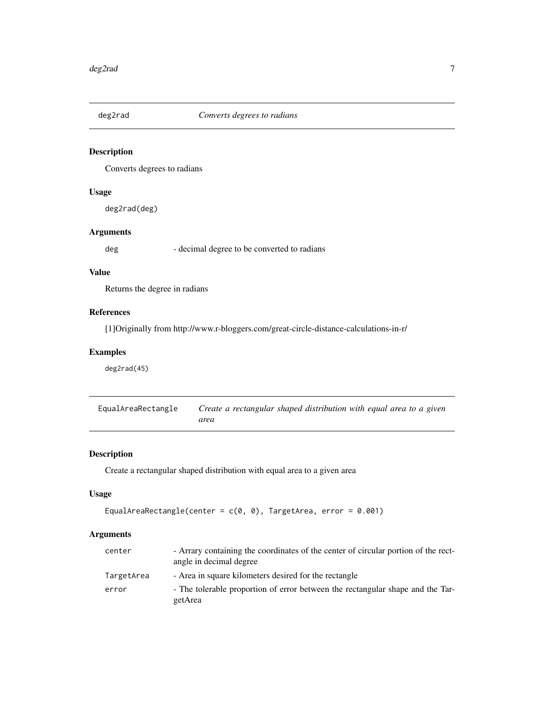<span id="page-6-0"></span>

Converts degrees to radians

# Usage

deg2rad(deg)

# Arguments

deg - decimal degree to be converted to radians

# Value

Returns the degree in radians

# References

[1]Originally from http://www.r-bloggers.com/great-circle-distance-calculations-in-r/

# Examples

deg2rad(45)

| EqualAreaRectangle | Create a rectangular shaped distribution with equal area to a given |  |
|--------------------|---------------------------------------------------------------------|--|
|                    | area                                                                |  |

# Description

Create a rectangular shaped distribution with equal area to a given area

# Usage

```
EqualAreaRectangle(center = c(\theta, \theta), TargetArea, error = 0.001)
```
# Arguments

| center     | - Arrary containing the coordinates of the center of circular portion of the rect-<br>angle in decimal degree |
|------------|---------------------------------------------------------------------------------------------------------------|
| TargetArea | - Area in square kilometers desired for the rectangle                                                         |
| error      | - The tolerable proportion of error between the rectangular shape and the Tar-<br>getArea                     |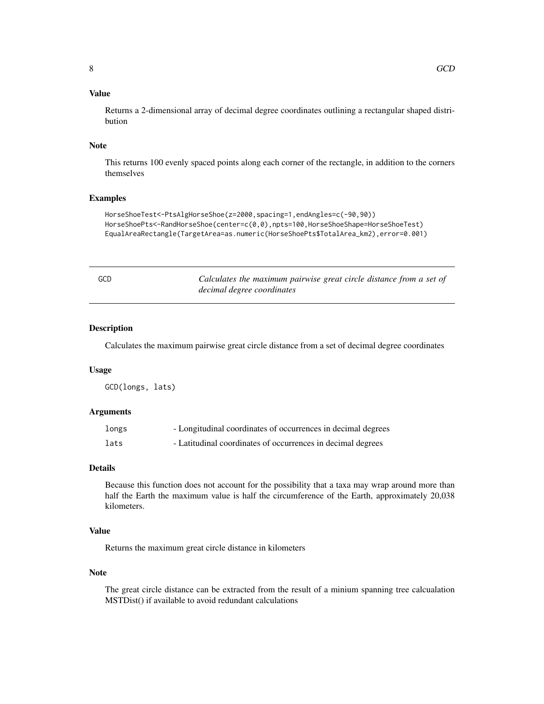# <span id="page-7-0"></span>Value

Returns a 2-dimensional array of decimal degree coordinates outlining a rectangular shaped distribution

#### Note

This returns 100 evenly spaced points along each corner of the rectangle, in addition to the corners themselves

# Examples

```
HorseShoeTest<-PtsAlgHorseShoe(z=2000,spacing=1,endAngles=c(-90,90))
HorseShoePts<-RandHorseShoe(center=c(0,0),npts=100,HorseShoeShape=HorseShoeTest)
EqualAreaRectangle(TargetArea=as.numeric(HorseShoePts$TotalArea_km2),error=0.001)
```

|             | ×<br>۰       |  |
|-------------|--------------|--|
|             |              |  |
| I<br>$\sim$ | ۰.<br>$\sim$ |  |

GCD *Calculates the maximum pairwise great circle distance from a set of decimal degree coordinates*

#### Description

Calculates the maximum pairwise great circle distance from a set of decimal degree coordinates

#### Usage

GCD(longs, lats)

#### Arguments

| longs | - Longitudinal coordinates of occurrences in decimal degrees |
|-------|--------------------------------------------------------------|
| lats  | - Latitudinal coordinates of occurrences in decimal degrees  |

# Details

Because this function does not account for the possibility that a taxa may wrap around more than half the Earth the maximum value is half the circumference of the Earth, approximately 20,038 kilometers.

# Value

Returns the maximum great circle distance in kilometers

#### Note

The great circle distance can be extracted from the result of a minium spanning tree calcualation MSTDist() if available to avoid redundant calculations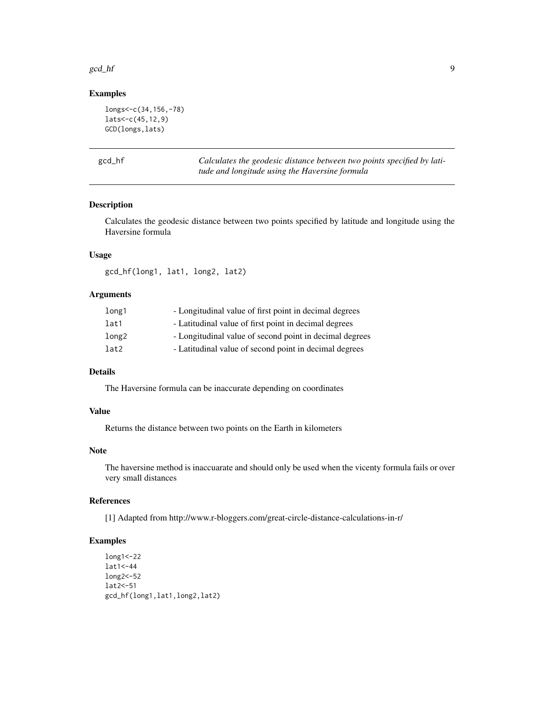#### <span id="page-8-0"></span>gcd\_hf 99

# Examples

```
longs<-c(34,156,-78)
lats<-c(45,12,9)
GCD(longs,lats)
```
gcd\_hf *Calculates the geodesic distance between two points specified by latitude and longitude using the Haversine formula*

# Description

Calculates the geodesic distance between two points specified by latitude and longitude using the Haversine formula

#### Usage

gcd\_hf(long1, lat1, long2, lat2)

# Arguments

| long1 | - Longitudinal value of first point in decimal degrees  |
|-------|---------------------------------------------------------|
| lat1  | - Latitudinal value of first point in decimal degrees   |
| long2 | - Longitudinal value of second point in decimal degrees |
| lat2  | - Latitudinal value of second point in decimal degrees  |

# Details

The Haversine formula can be inaccurate depending on coordinates

# Value

Returns the distance between two points on the Earth in kilometers

#### Note

The haversine method is inaccuarate and should only be used when the vicenty formula fails or over very small distances

#### References

[1] Adapted from http://www.r-bloggers.com/great-circle-distance-calculations-in-r/

```
long1<-22
lat1<-44
long2<-52
lat2<-51
gcd_hf(long1,lat1,long2,lat2)
```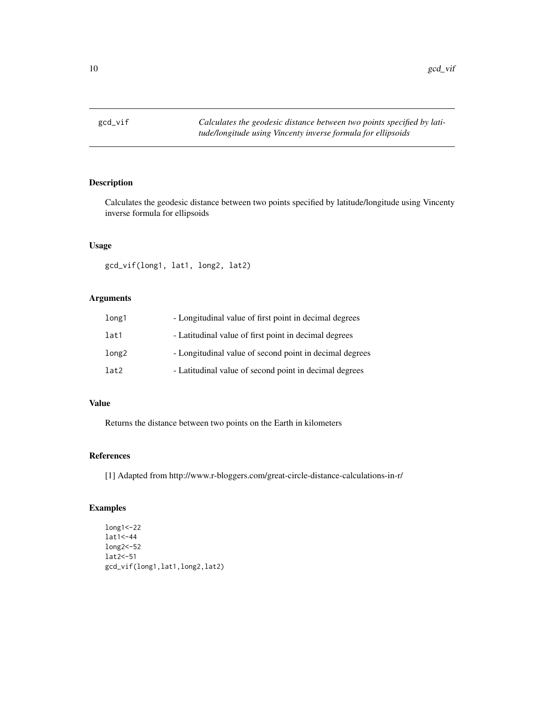<span id="page-9-0"></span>

Calculates the geodesic distance between two points specified by latitude/longitude using Vincenty inverse formula for ellipsoids

# Usage

gcd\_vif(long1, lat1, long2, lat2)

# Arguments

| long1 | - Longitudinal value of first point in decimal degrees  |
|-------|---------------------------------------------------------|
| lat1  | - Latitudinal value of first point in decimal degrees   |
| long2 | - Longitudinal value of second point in decimal degrees |
| lat2  | - Latitudinal value of second point in decimal degrees  |

# Value

Returns the distance between two points on the Earth in kilometers

# References

[1] Adapted from http://www.r-bloggers.com/great-circle-distance-calculations-in-r/

```
long1<-22
lat1<-44
long2<-52
lat2<-51
gcd_vif(long1,lat1,long2,lat2)
```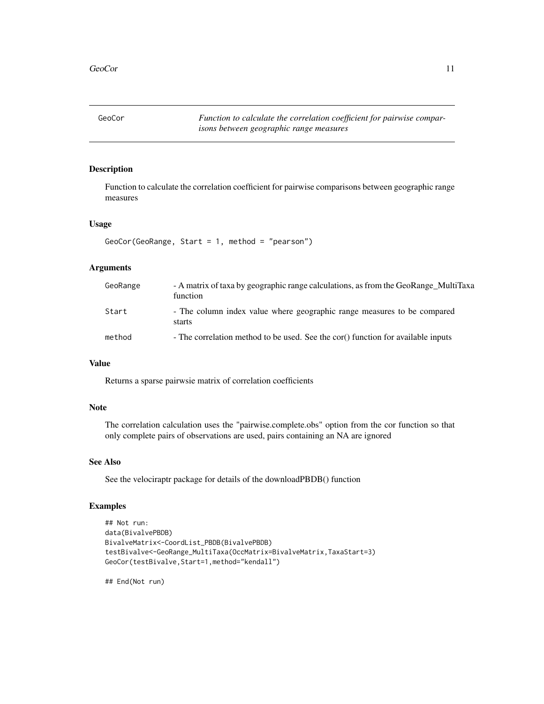<span id="page-10-0"></span>GeoCor *Function to calculate the correlation coefficient for pairwise comparisons between geographic range measures*

### Description

Function to calculate the correlation coefficient for pairwise comparisons between geographic range measures

# Usage

```
GeoCor(GeoRange, Start = 1, method = "pearson")
```
#### Arguments

| GeoRange | - A matrix of taxa by geographic range calculations, as from the GeoRange MultiTaxa<br>function |
|----------|-------------------------------------------------------------------------------------------------|
| Start    | - The column index value where geographic range measures to be compared<br>starts               |
| method   | - The correlation method to be used. See the cor() function for available inputs                |

# Value

Returns a sparse pairwsie matrix of correlation coefficients

#### Note

The correlation calculation uses the "pairwise.complete.obs" option from the cor function so that only complete pairs of observations are used, pairs containing an NA are ignored

#### See Also

See the velociraptr package for details of the downloadPBDB() function

#### Examples

```
## Not run:
data(BivalvePBDB)
BivalveMatrix<-CoordList_PBDB(BivalvePBDB)
testBivalve<-GeoRange_MultiTaxa(OccMatrix=BivalveMatrix,TaxaStart=3)
GeoCor(testBivalve,Start=1,method="kendall")
```
## End(Not run)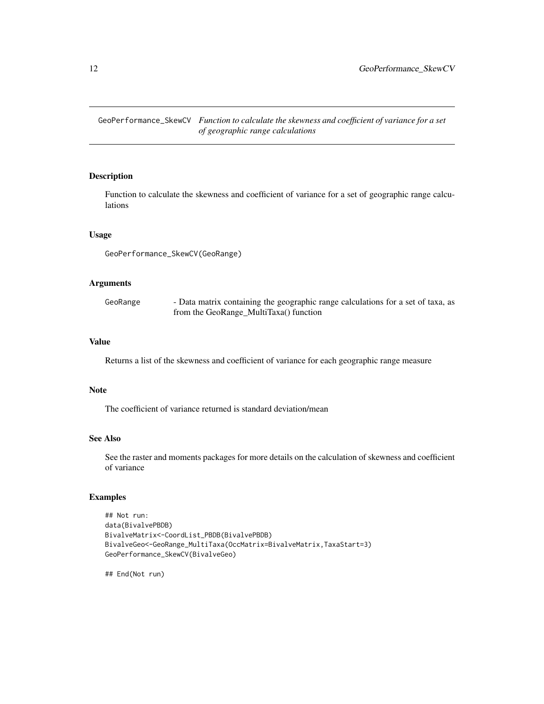<span id="page-11-0"></span>GeoPerformance\_SkewCV *Function to calculate the skewness and coefficient of variance for a set of geographic range calculations*

# Description

Function to calculate the skewness and coefficient of variance for a set of geographic range calculations

#### Usage

GeoPerformance\_SkewCV(GeoRange)

#### Arguments

| GeoRange | - Data matrix containing the geographic range calculations for a set of taxa, as |
|----------|----------------------------------------------------------------------------------|
|          | from the GeoRange_MultiTaxa() function                                           |

#### Value

Returns a list of the skewness and coefficient of variance for each geographic range measure

#### Note

The coefficient of variance returned is standard deviation/mean

#### See Also

See the raster and moments packages for more details on the calculation of skewness and coefficient of variance

#### Examples

```
## Not run:
data(BivalvePBDB)
BivalveMatrix<-CoordList_PBDB(BivalvePBDB)
BivalveGeo<-GeoRange_MultiTaxa(OccMatrix=BivalveMatrix,TaxaStart=3)
GeoPerformance_SkewCV(BivalveGeo)
```
## End(Not run)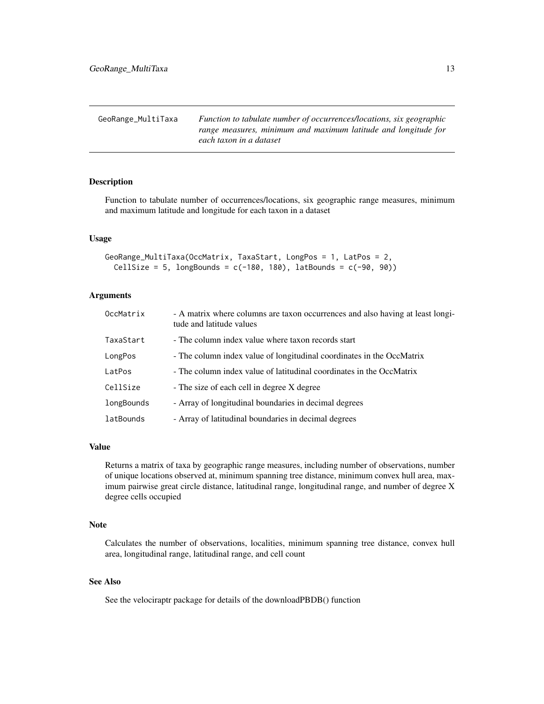<span id="page-12-0"></span>GeoRange\_MultiTaxa *Function to tabulate number of occurrences/locations, six geographic range measures, minimum and maximum latitude and longitude for each taxon in a dataset*

# Description

Function to tabulate number of occurrences/locations, six geographic range measures, minimum and maximum latitude and longitude for each taxon in a dataset

#### Usage

```
GeoRange_MultiTaxa(OccMatrix, TaxaStart, LongPos = 1, LatPos = 2,
 CellSize = 5, longBounds = c(-180, 180), latBounds = c(-90, 90))
```
#### Arguments

| OccMatrix  | - A matrix where columns are taxon occurrences and also having at least longi-<br>tude and latitude values |
|------------|------------------------------------------------------------------------------------------------------------|
| TaxaStart  | - The column index value where taxon records start                                                         |
| LongPos    | - The column index value of longitudinal coordinates in the OccMatrix                                      |
| LatPos     | - The column index value of latitudinal coordinates in the OccMatrix                                       |
| CellSize   | - The size of each cell in degree X degree                                                                 |
| longBounds | - Array of longitudinal boundaries in decimal degrees                                                      |
| latBounds  | - Array of latitudinal boundaries in decimal degrees                                                       |

# Value

Returns a matrix of taxa by geographic range measures, including number of observations, number of unique locations observed at, minimum spanning tree distance, minimum convex hull area, maximum pairwise great circle distance, latitudinal range, longitudinal range, and number of degree X degree cells occupied

#### Note

Calculates the number of observations, localities, minimum spanning tree distance, convex hull area, longitudinal range, latitudinal range, and cell count

#### See Also

See the velociraptr package for details of the downloadPBDB() function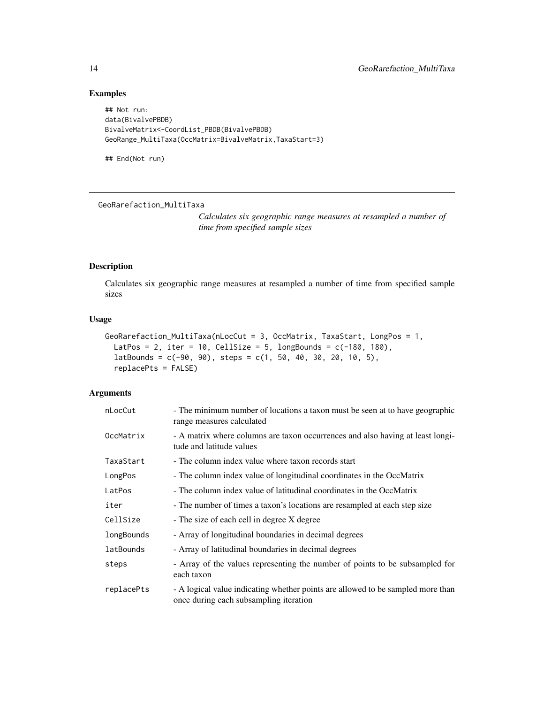# Examples

```
## Not run:
data(BivalvePBDB)
BivalveMatrix<-CoordList_PBDB(BivalvePBDB)
GeoRange_MultiTaxa(OccMatrix=BivalveMatrix,TaxaStart=3)
```
## End(Not run)

GeoRarefaction\_MultiTaxa

*Calculates six geographic range measures at resampled a number of time from specified sample sizes*

# Description

Calculates six geographic range measures at resampled a number of time from specified sample sizes

#### Usage

```
GeoRarefaction_MultiTaxa(nLocCut = 3, OccMatrix, TaxaStart, LongPos = 1,
 LatPos = 2, iter = 10, CellSize = 5, longBounds = c(-180, 180),
  latBounds = c(-90, 90), steps = c(1, 50, 40, 30, 20, 10, 5),
  replacePts = FALSE)
```
#### Arguments

| nLocCut    | - The minimum number of locations a taxon must be seen at to have geographic<br>range measures calculated                 |
|------------|---------------------------------------------------------------------------------------------------------------------------|
| OccMatrix  | - A matrix where columns are taxon occurrences and also having at least longi-<br>tude and latitude values                |
| TaxaStart  | - The column index value where taxon records start                                                                        |
| LongPos    | - The column index value of longitudinal coordinates in the OccMatrix                                                     |
| LatPos     | - The column index value of latitudinal coordinates in the OccMatrix                                                      |
| iter       | - The number of times a taxon's locations are resampled at each step size                                                 |
| CellSize   | - The size of each cell in degree X degree                                                                                |
| longBounds | - Array of longitudinal boundaries in decimal degrees                                                                     |
| latBounds  | - Array of latitudinal boundaries in decimal degrees                                                                      |
| steps      | - Array of the values representing the number of points to be subsampled for<br>each taxon                                |
| replacePts | - A logical value indicating whether points are allowed to be sampled more than<br>once during each subsampling iteration |

<span id="page-13-0"></span>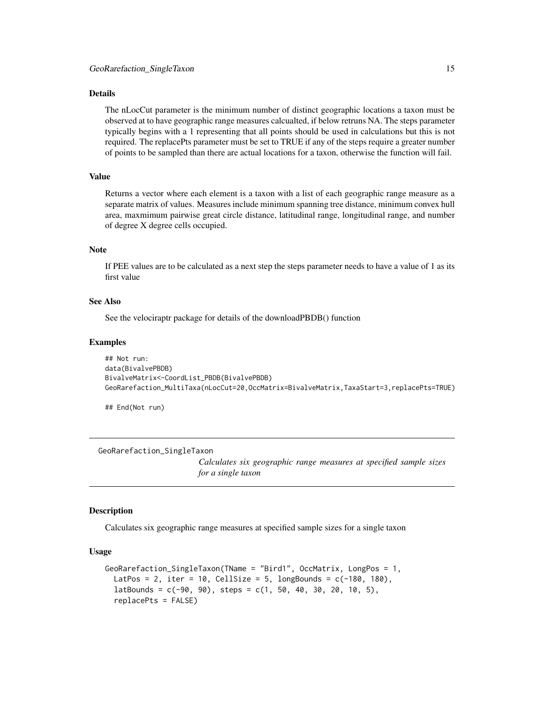#### <span id="page-14-0"></span>Details

The nLocCut parameter is the minimum number of distinct geographic locations a taxon must be observed at to have geographic range measures calcualted, if below retruns NA. The steps parameter typically begins with a 1 representing that all points should be used in calculations but this is not required. The replacePts parameter must be set to TRUE if any of the steps require a greater number of points to be sampled than there are actual locations for a taxon, otherwise the function will fail.

# Value

Returns a vector where each element is a taxon with a list of each geographic range measure as a separate matrix of values. Measures include minimum spanning tree distance, minimum convex hull area, maxmimum pairwise great circle distance, latitudinal range, longitudinal range, and number of degree X degree cells occupied.

# Note

If PEE values are to be calculated as a next step the steps parameter needs to have a value of 1 as its first value

#### See Also

See the velociraptr package for details of the downloadPBDB() function

#### Examples

```
## Not run:
data(BivalvePBDB)
BivalveMatrix<-CoordList_PBDB(BivalvePBDB)
GeoRarefaction_MultiTaxa(nLocCut=20,OccMatrix=BivalveMatrix,TaxaStart=3,replacePts=TRUE)
```
## End(Not run)

GeoRarefaction\_SingleTaxon

*Calculates six geographic range measures at specified sample sizes for a single taxon*

#### Description

Calculates six geographic range measures at specified sample sizes for a single taxon

#### Usage

```
GeoRarefaction_SingleTaxon(TName = "Bird1", OccMatrix, LongPos = 1,
 LatPos = 2, iter = 10, CellSize = 5, longBounds = c(-180, 180),
  latBounds = c(-90, 90), steps = c(1, 50, 40, 30, 20, 10, 5),
  replacePts = FALSE)
```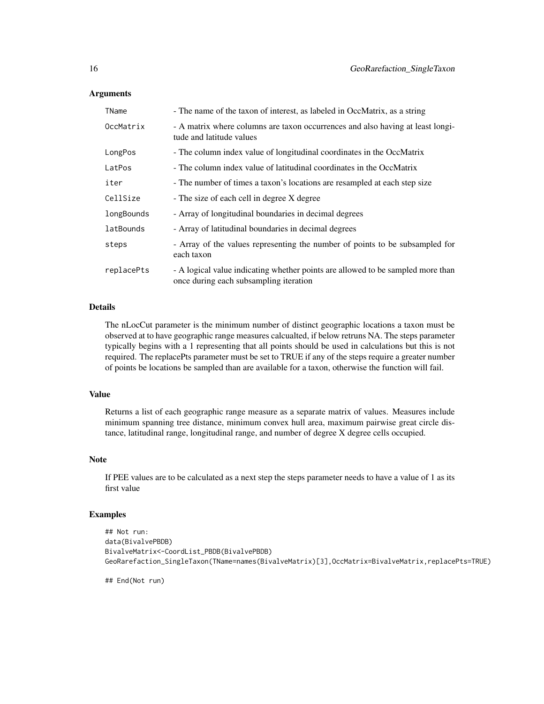#### Arguments

| TName      | - The name of the taxon of interest, as labeled in OccMatrix, as a string                                                 |
|------------|---------------------------------------------------------------------------------------------------------------------------|
| OccMatrix  | - A matrix where columns are taxon occurrences and also having at least longi-<br>tude and latitude values                |
| LongPos    | - The column index value of longitudinal coordinates in the OccMatrix                                                     |
| LatPos     | - The column index value of latitudinal coordinates in the OccMatrix                                                      |
| iter       | - The number of times a taxon's locations are resampled at each step size                                                 |
| CellSize   | - The size of each cell in degree X degree                                                                                |
| longBounds | - Array of longitudinal boundaries in decimal degrees                                                                     |
| latBounds  | - Array of latitudinal boundaries in decimal degrees                                                                      |
| steps      | - Array of the values representing the number of points to be subsampled for<br>each taxon                                |
| replacePts | - A logical value indicating whether points are allowed to be sampled more than<br>once during each subsampling iteration |

# Details

The nLocCut parameter is the minimum number of distinct geographic locations a taxon must be observed at to have geographic range measures calcualted, if below retruns NA. The steps parameter typically begins with a 1 representing that all points should be used in calculations but this is not required. The replacePts parameter must be set to TRUE if any of the steps require a greater number of points be locations be sampled than are available for a taxon, otherwise the function will fail.

#### Value

Returns a list of each geographic range measure as a separate matrix of values. Measures include minimum spanning tree distance, minimum convex hull area, maximum pairwise great circle distance, latitudinal range, longitudinal range, and number of degree X degree cells occupied.

# Note

If PEE values are to be calculated as a next step the steps parameter needs to have a value of 1 as its first value

# Examples

```
## Not run:
data(BivalvePBDB)
BivalveMatrix<-CoordList_PBDB(BivalvePBDB)
GeoRarefaction_SingleTaxon(TName=names(BivalveMatrix)[3],OccMatrix=BivalveMatrix,replacePts=TRUE)
```
## End(Not run)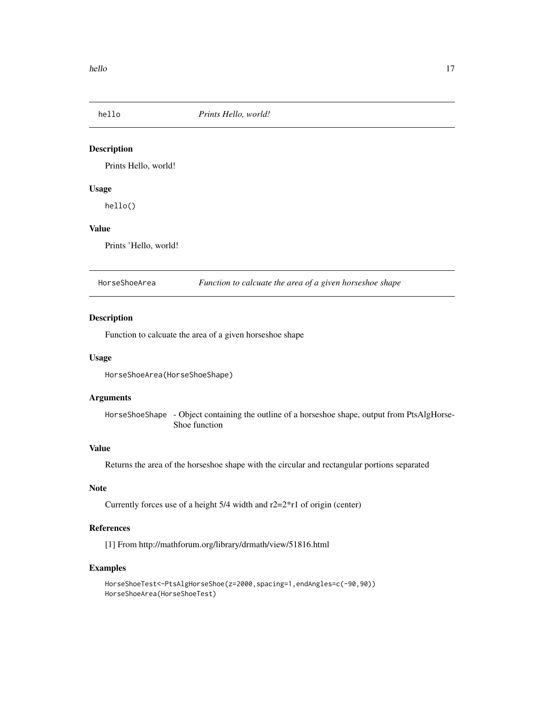<span id="page-16-0"></span>

Prints Hello, world!

#### Usage

hello()

# Value

Prints 'Hello, world!

HorseShoeArea *Function to calcuate the area of a given horseshoe shape*

# **Description**

Function to calcuate the area of a given horseshoe shape

#### Usage

```
HorseShoeArea(HorseShoeShape)
```
#### Arguments

HorseShoeShape - Object containing the outline of a horseshoe shape, output from PtsAlgHorse-Shoe function

#### Value

Returns the area of the horseshoe shape with the circular and rectangular portions separated

#### Note

Currently forces use of a height  $5/4$  width and  $r2=2*r1$  of origin (center)

# References

[1] From http://mathforum.org/library/drmath/view/51816.html

```
HorseShoeTest<-PtsAlgHorseShoe(z=2000,spacing=1,endAngles=c(-90,90))
HorseShoeArea(HorseShoeTest)
```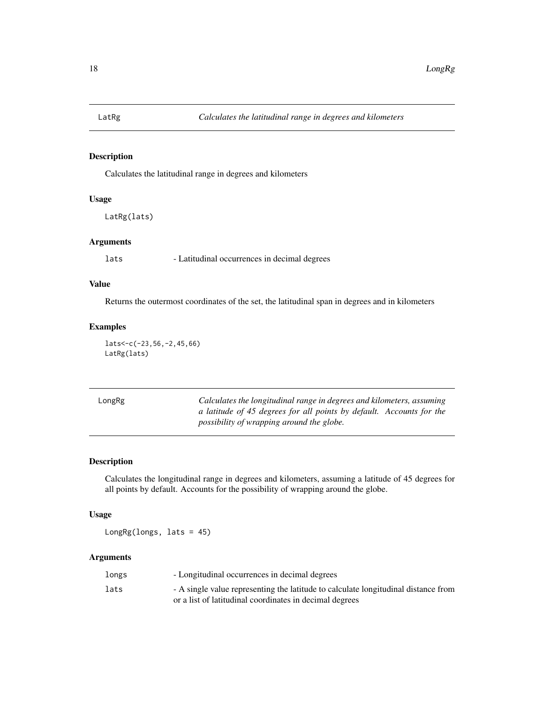<span id="page-17-0"></span>

Calculates the latitudinal range in degrees and kilometers

#### Usage

LatRg(lats)

# Arguments

lats - Latitudinal occurrences in decimal degrees

# Value

Returns the outermost coordinates of the set, the latitudinal span in degrees and in kilometers

# Examples

lats<-c(-23,56,-2,45,66) LatRg(lats)

| LongRg | Calculates the longitudinal range in degrees and kilometers, assuming |
|--------|-----------------------------------------------------------------------|
|        | a latitude of 45 degrees for all points by default. Accounts for the  |
|        | possibility of wrapping around the globe.                             |

# Description

Calculates the longitudinal range in degrees and kilometers, assuming a latitude of 45 degrees for all points by default. Accounts for the possibility of wrapping around the globe.

# Usage

LongRg(longs, lats = 45)

# Arguments

| longs | - Longitudinal occurrences in decimal degrees                                      |
|-------|------------------------------------------------------------------------------------|
| lats  | - A single value representing the latitude to calculate longitudinal distance from |
|       | or a list of latitudinal coordinates in decimal degrees                            |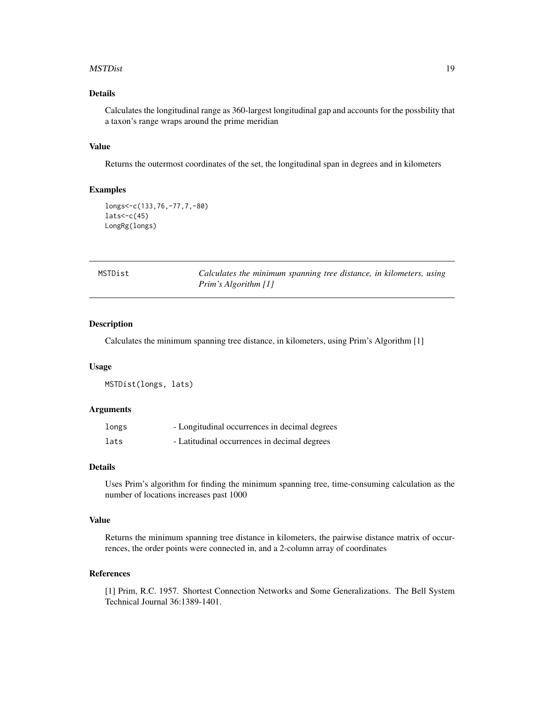#### <span id="page-18-0"></span>MSTDist 2008 and 2008 and 2008 and 2008 and 2008 and 2008 and 2008 and 2008 and 2008 and 2008 and 2008 and 200

# Details

Calculates the longitudinal range as 360-largest longitudinal gap and accounts for the possbility that a taxon's range wraps around the prime meridian

#### Value

Returns the outermost coordinates of the set, the longitudinal span in degrees and in kilometers

# Examples

```
longs<-c(133,76,-77,7,-80)
lats < -c(45)LongRg(longs)
```

| MSTDist | Calculates the minimum spanning tree distance, in kilometers, using |  |
|---------|---------------------------------------------------------------------|--|
|         | Prim's Algorithm [1]                                                |  |

# Description

Calculates the minimum spanning tree distance, in kilometers, using Prim's Algorithm [1]

#### Usage

MSTDist(longs, lats)

#### Arguments

| longs | - Longitudinal occurrences in decimal degrees |
|-------|-----------------------------------------------|
| lats  | - Latitudinal occurrences in decimal degrees  |

#### Details

Uses Prim's algorithm for finding the minimum spanning tree, time-consuming calculation as the number of locations increases past 1000

#### Value

Returns the minimum spanning tree distance in kilometers, the pairwise distance matrix of occurrences, the order points were connected in, and a 2-column array of coordinates

#### References

[1] Prim, R.C. 1957. Shortest Connection Networks and Some Generalizations. The Bell System Technical Journal 36:1389-1401.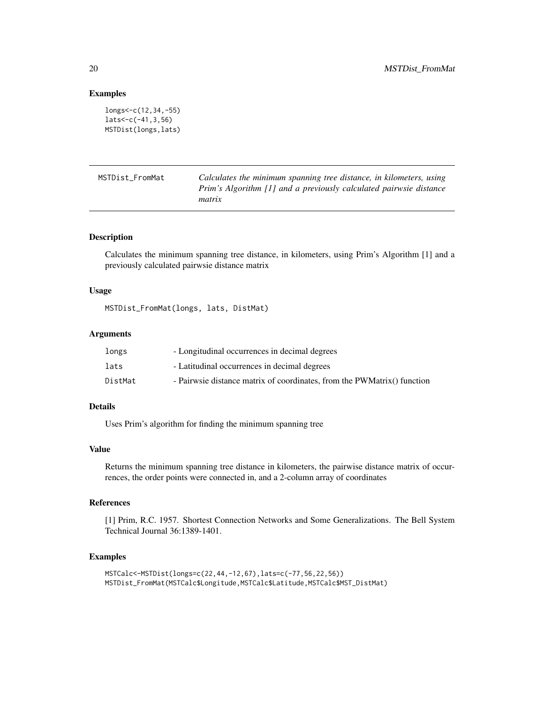#### Examples

```
longs<-c(12,34,-55)
lats<-c(-41,3,56)
MSTDist(longs,lats)
```

| MSTDist FromMat | Calculates the minimum spanning tree distance, in kilometers, using |
|-----------------|---------------------------------------------------------------------|
|                 | Prim's Algorithm [1] and a previously calculated pairwsie distance  |
|                 | matrix                                                              |

#### Description

Calculates the minimum spanning tree distance, in kilometers, using Prim's Algorithm [1] and a previously calculated pairwsie distance matrix

#### Usage

MSTDist\_FromMat(longs, lats, DistMat)

# Arguments

| longs   | - Longitudinal occurrences in decimal degrees                           |
|---------|-------------------------------------------------------------------------|
| lats    | - Latitudinal occurrences in decimal degrees                            |
| DistMat | - Pairwsie distance matrix of coordinates, from the PWMatrix() function |

#### Details

Uses Prim's algorithm for finding the minimum spanning tree

#### Value

Returns the minimum spanning tree distance in kilometers, the pairwise distance matrix of occurrences, the order points were connected in, and a 2-column array of coordinates

# References

[1] Prim, R.C. 1957. Shortest Connection Networks and Some Generalizations. The Bell System Technical Journal 36:1389-1401.

```
MSTCalc<-MSTDist(longs=c(22,44,-12,67),lats=c(-77,56,22,56))
MSTDist_FromMat(MSTCalc$Longitude,MSTCalc$Latitude,MSTCalc$MST_DistMat)
```
<span id="page-19-0"></span>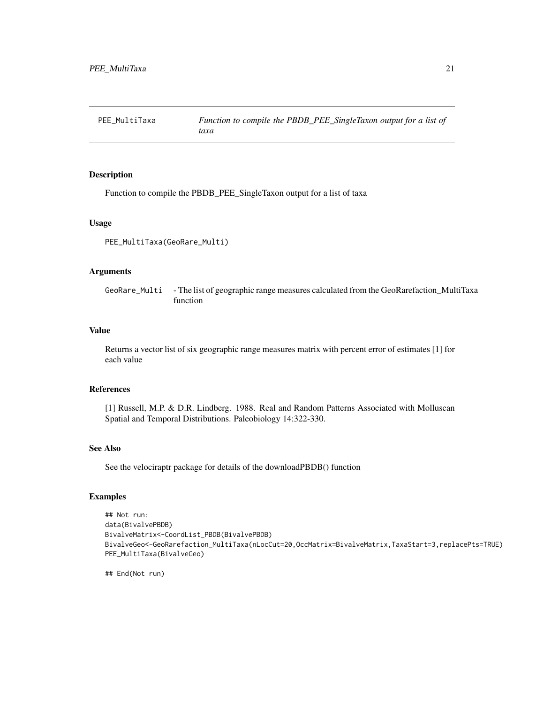<span id="page-20-0"></span>

Function to compile the PBDB\_PEE\_SingleTaxon output for a list of taxa

#### Usage

PEE\_MultiTaxa(GeoRare\_Multi)

#### Arguments

GeoRare\_Multi - The list of geographic range measures calculated from the GeoRarefaction\_MultiTaxa function

#### Value

Returns a vector list of six geographic range measures matrix with percent error of estimates [1] for each value

#### References

[1] Russell, M.P. & D.R. Lindberg. 1988. Real and Random Patterns Associated with Molluscan Spatial and Temporal Distributions. Paleobiology 14:322-330.

#### See Also

See the velociraptr package for details of the downloadPBDB() function

#### Examples

```
## Not run:
data(BivalvePBDB)
BivalveMatrix<-CoordList_PBDB(BivalvePBDB)
BivalveGeo<-GeoRarefaction_MultiTaxa(nLocCut=20,OccMatrix=BivalveMatrix,TaxaStart=3,replacePts=TRUE)
PEE_MultiTaxa(BivalveGeo)
```
## End(Not run)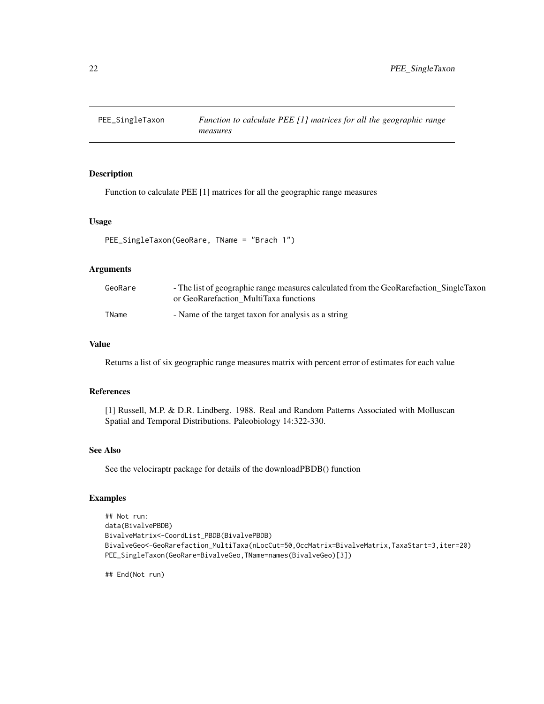<span id="page-21-0"></span>

Function to calculate PEE [1] matrices for all the geographic range measures

#### Usage

```
PEE_SingleTaxon(GeoRare, TName = "Brach 1")
```
# Arguments

| GeoRare | - The list of geographic range measures calculated from the GeoRarefaction_SingleTaxon<br>or GeoRarefaction MultiTaxa functions |
|---------|---------------------------------------------------------------------------------------------------------------------------------|
| TName   | - Name of the target taxon for analysis as a string                                                                             |

# Value

Returns a list of six geographic range measures matrix with percent error of estimates for each value

# References

[1] Russell, M.P. & D.R. Lindberg. 1988. Real and Random Patterns Associated with Molluscan Spatial and Temporal Distributions. Paleobiology 14:322-330.

#### See Also

See the velociraptr package for details of the downloadPBDB() function

# Examples

```
## Not run:
data(BivalvePBDB)
BivalveMatrix<-CoordList_PBDB(BivalvePBDB)
BivalveGeo<-GeoRarefaction_MultiTaxa(nLocCut=50,OccMatrix=BivalveMatrix,TaxaStart=3,iter=20)
PEE_SingleTaxon(GeoRare=BivalveGeo,TName=names(BivalveGeo)[3])
```
## End(Not run)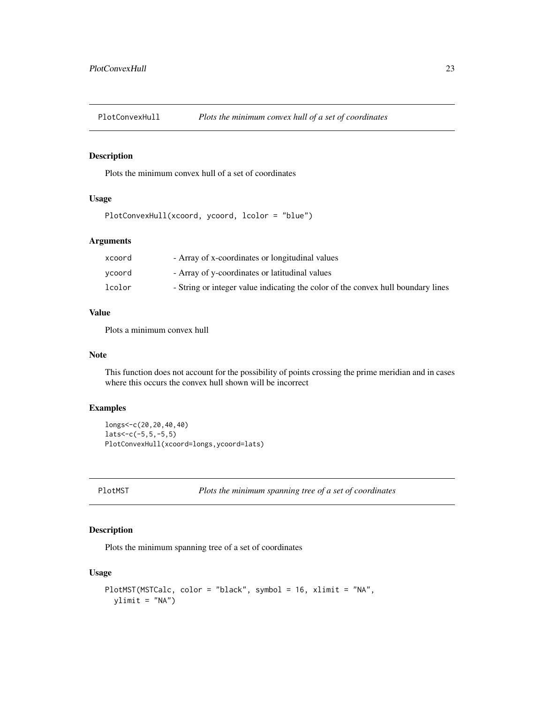<span id="page-22-0"></span>

Plots the minimum convex hull of a set of coordinates

# Usage

```
PlotConvexHull(xcoord, ycoord, lcolor = "blue")
```
# Arguments

| xcoord | - Array of x-coordinates or longitudinal values                                  |
|--------|----------------------------------------------------------------------------------|
| ycoord | - Array of y-coordinates or latitudinal values                                   |
| lcolor | - String or integer value indicating the color of the convex hull boundary lines |

# Value

Plots a minimum convex hull

# Note

This function does not account for the possibility of points crossing the prime meridian and in cases where this occurs the convex hull shown will be incorrect

# Examples

```
longs<-c(20,20,40,40)
lats < -c(-5, 5, -5, 5)PlotConvexHull(xcoord=longs,ycoord=lats)
```
PlotMST *Plots the minimum spanning tree of a set of coordinates*

# Description

Plots the minimum spanning tree of a set of coordinates

# Usage

```
PlotMST(MSTCalc, color = "black", symbol = 16, xlimit = "NA",
 ylimit = "NA")
```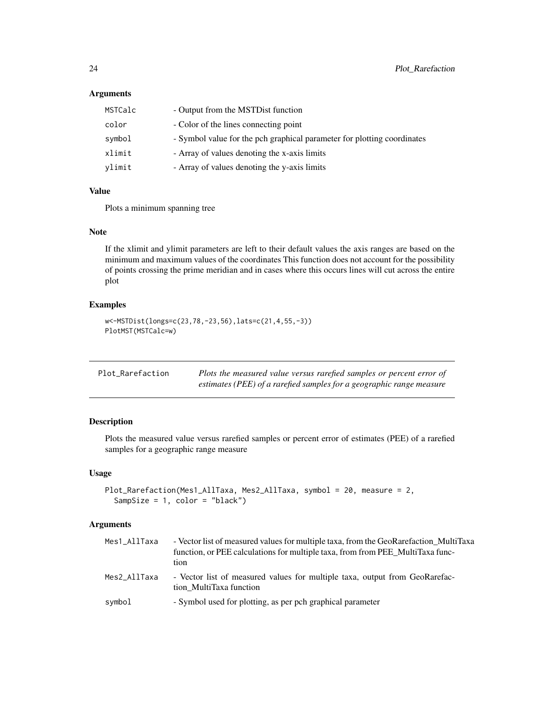# <span id="page-23-0"></span>Arguments

| MSTCalc | - Output from the MSTD ist function                                     |
|---------|-------------------------------------------------------------------------|
| color   | - Color of the lines connecting point                                   |
| symbol  | - Symbol value for the pch graphical parameter for plotting coordinates |
| xlimit  | - Array of values denoting the x-axis limits                            |
| ylimit  | - Array of values denoting the y-axis limits                            |

# Value

Plots a minimum spanning tree

# Note

If the xlimit and ylimit parameters are left to their default values the axis ranges are based on the minimum and maximum values of the coordinates This function does not account for the possibility of points crossing the prime meridian and in cases where this occurs lines will cut across the entire plot

# Examples

```
w<-MSTDist(longs=c(23,78,-23,56),lats=c(21,4,55,-3))
PlotMST(MSTCalc=w)
```

| Plot Rarefaction | Plots the measured value versus rarefied samples or percent error of |
|------------------|----------------------------------------------------------------------|
|                  | estimates (PEE) of a rarefied samples for a geographic range measure |

# Description

Plots the measured value versus rarefied samples or percent error of estimates (PEE) of a rarefied samples for a geographic range measure

#### Usage

```
Plot_Rarefaction(Mes1_AllTaxa, Mes2_AllTaxa, symbol = 20, measure = 2,
  SampSize = 1, color = "black")
```
# Arguments

| Mes1_AllTaxa | - Vector list of measured values for multiple taxa, from the GeoRarefaction MultiTaxa<br>function, or PEE calculations for multiple taxa, from from PEE MultiTaxa func-<br>tion |
|--------------|---------------------------------------------------------------------------------------------------------------------------------------------------------------------------------|
| Mes2_AllTaxa | - Vector list of measured values for multiple taxa, output from GeoRarefac-<br>tion MultiTaxa function                                                                          |
| symbol       | - Symbol used for plotting, as per pch graphical parameter                                                                                                                      |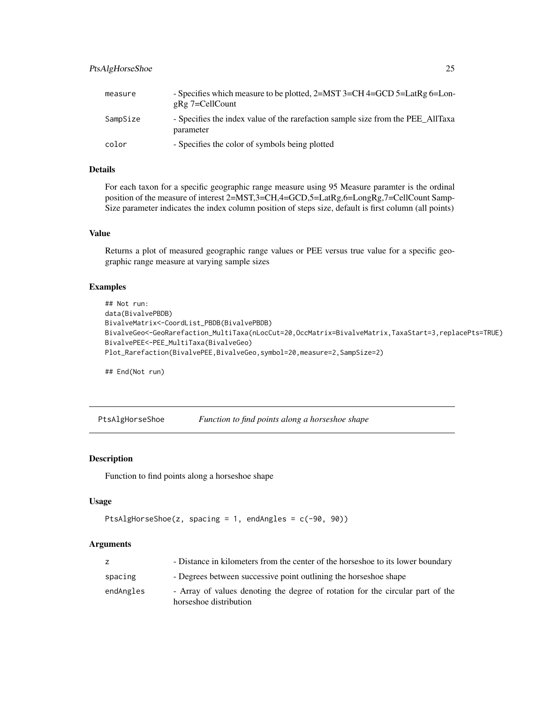# <span id="page-24-0"></span>PtsAlgHorseShoe 25

| measure  | - Specifies which measure to be plotted, 2=MST 3=CH 4=GCD 5=LatRg 6=Lon-<br>g $Rg$ 7=CellCount |
|----------|------------------------------------------------------------------------------------------------|
| SampSize | - Specifies the index value of the rarefaction sample size from the PEE AllTaxa<br>parameter   |
| color    | - Specifies the color of symbols being plotted                                                 |

# Details

For each taxon for a specific geographic range measure using 95 Measure paramter is the ordinal position of the measure of interest 2=MST,3=CH,4=GCD,5=LatRg,6=LongRg,7=CellCount Samp-Size parameter indicates the index column position of steps size, default is first column (all points)

#### Value

Returns a plot of measured geographic range values or PEE versus true value for a specific geographic range measure at varying sample sizes

#### Examples

```
## Not run:
data(BivalvePBDB)
BivalveMatrix<-CoordList_PBDB(BivalvePBDB)
BivalveGeo<-GeoRarefaction_MultiTaxa(nLocCut=20,OccMatrix=BivalveMatrix,TaxaStart=3,replacePts=TRUE)
BivalvePEE<-PEE_MultiTaxa(BivalveGeo)
Plot_Rarefaction(BivalvePEE,BivalveGeo,symbol=20,measure=2,SampSize=2)
```
## End(Not run)

PtsAlgHorseShoe *Function to find points along a horseshoe shape*

# Description

Function to find points along a horseshoe shape

#### Usage

```
PtsAlgHorseShoe(z, spacing = 1, endAngles = c(-90, 90))
```
#### Arguments

| z         | - Distance in kilometers from the center of the horseshoe to its lower boundary                          |
|-----------|----------------------------------------------------------------------------------------------------------|
| spacing   | - Degrees between successive point outlining the horseshoe shape                                         |
| endAngles | - Array of values denoting the degree of rotation for the circular part of the<br>horseshoe distribution |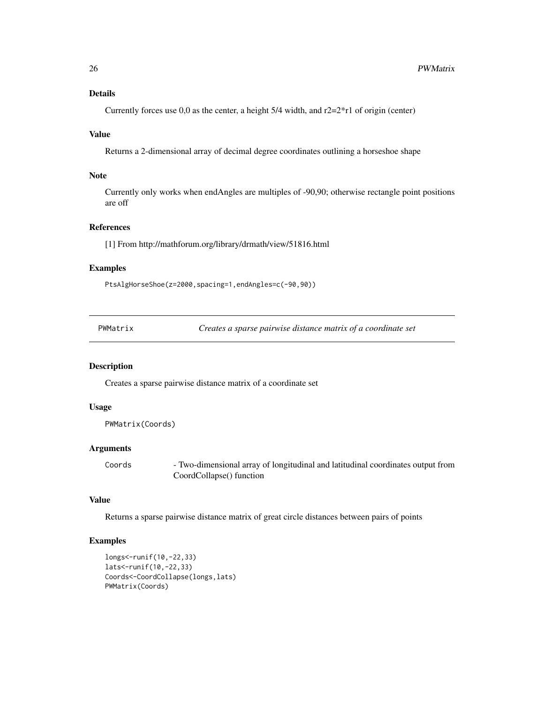# <span id="page-25-0"></span>Details

Currently forces use 0,0 as the center, a height  $5/4$  width, and  $r2=2*r1$  of origin (center)

# Value

Returns a 2-dimensional array of decimal degree coordinates outlining a horseshoe shape

# Note

Currently only works when endAngles are multiples of -90,90; otherwise rectangle point positions are off

#### References

[1] From http://mathforum.org/library/drmath/view/51816.html

# Examples

PtsAlgHorseShoe(z=2000,spacing=1,endAngles=c(-90,90))

| PWMatrix |  |
|----------|--|
|----------|--|

Creates a sparse pairwise distance matrix of a coordinate set

# Description

Creates a sparse pairwise distance matrix of a coordinate set

#### Usage

```
PWMatrix(Coords)
```
#### Arguments

Coords - Two-dimensional array of longitudinal and latitudinal coordinates output from CoordCollapse() function

#### Value

Returns a sparse pairwise distance matrix of great circle distances between pairs of points

```
longs<-runif(10,-22,33)
lats<-runif(10,-22,33)
Coords<-CoordCollapse(longs,lats)
PWMatrix(Coords)
```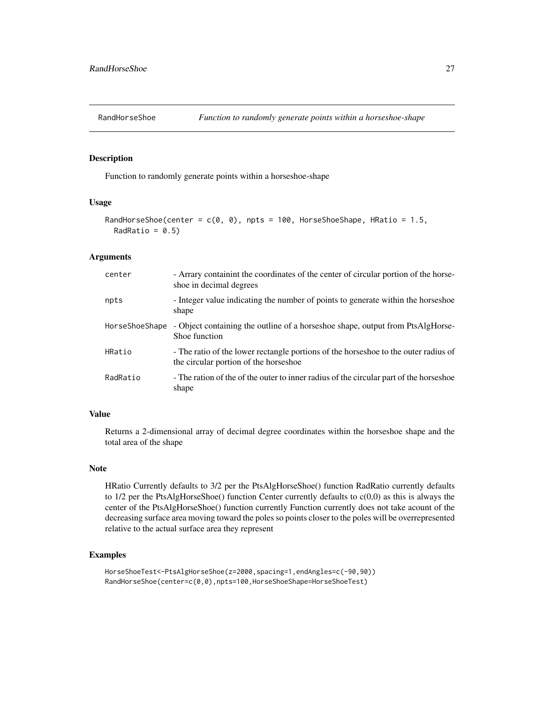<span id="page-26-0"></span>

Function to randomly generate points within a horseshoe-shape

#### Usage

```
RandHorseShoe(center = c(0, 0), npts = 100, HorseShoeShape, HRatio = 1.5,
 RadRatio = 0.5
```
#### Arguments

| center         | - Arrary containint the coordinates of the center of circular portion of the horse-<br>shoe in decimal degrees               |
|----------------|------------------------------------------------------------------------------------------------------------------------------|
| npts           | - Integer value indicating the number of points to generate within the horseshoe<br>shape                                    |
| HorseShoeShape | - Object containing the outline of a horseshoe shape, output from PtsAlgHorse-<br>Shoe function                              |
| HRatio         | - The ratio of the lower rectangle portions of the horseshoe to the outer radius of<br>the circular portion of the horseshoe |
| RadRatio       | - The ration of the of the outer to inner radius of the circular part of the horseshoe<br>shape                              |

#### Value

Returns a 2-dimensional array of decimal degree coordinates within the horseshoe shape and the total area of the shape

# Note

HRatio Currently defaults to 3/2 per the PtsAlgHorseShoe() function RadRatio currently defaults to  $1/2$  per the PtsAlgHorseShoe() function Center currently defaults to  $c(0,0)$  as this is always the center of the PtsAlgHorseShoe() function currently Function currently does not take acount of the decreasing surface area moving toward the poles so points closer to the poles will be overrepresented relative to the actual surface area they represent

```
HorseShoeTest<-PtsAlgHorseShoe(z=2000,spacing=1,endAngles=c(-90,90))
RandHorseShoe(center=c(0,0),npts=100,HorseShoeShape=HorseShoeTest)
```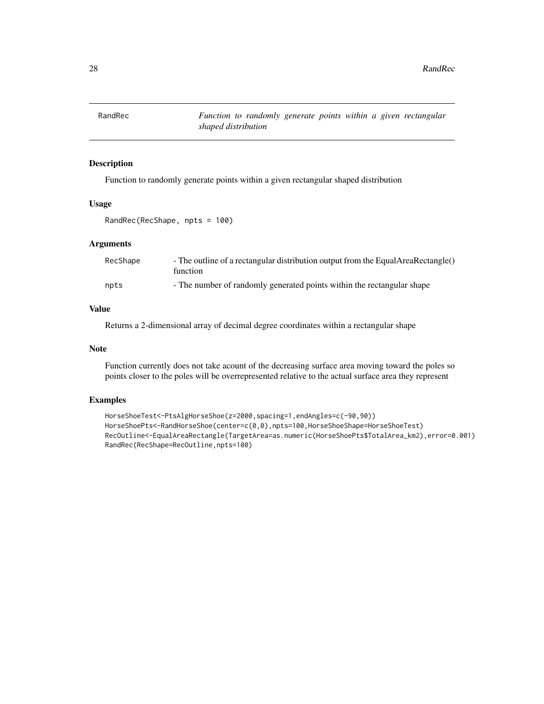<span id="page-27-0"></span>

Function to randomly generate points within a given rectangular shaped distribution

# Usage

RandRec(RecShape, npts = 100)

# Arguments

| RecShape | - The outline of a rectangular distribution output from the EqualAreaRectangle()<br>function |
|----------|----------------------------------------------------------------------------------------------|
| npts     | - The number of randomly generated points within the rectangular shape                       |

# Value

Returns a 2-dimensional array of decimal degree coordinates within a rectangular shape

#### Note

Function currently does not take acount of the decreasing surface area moving toward the poles so points closer to the poles will be overrepresented relative to the actual surface area they represent

```
HorseShoeTest<-PtsAlgHorseShoe(z=2000,spacing=1,endAngles=c(-90,90))
HorseShoePts<-RandHorseShoe(center=c(0,0),npts=100,HorseShoeShape=HorseShoeTest)
RecOutline<-EqualAreaRectangle(TargetArea=as.numeric(HorseShoePts$TotalArea_km2),error=0.001)
RandRec(RecShape=RecOutline,npts=100)
```